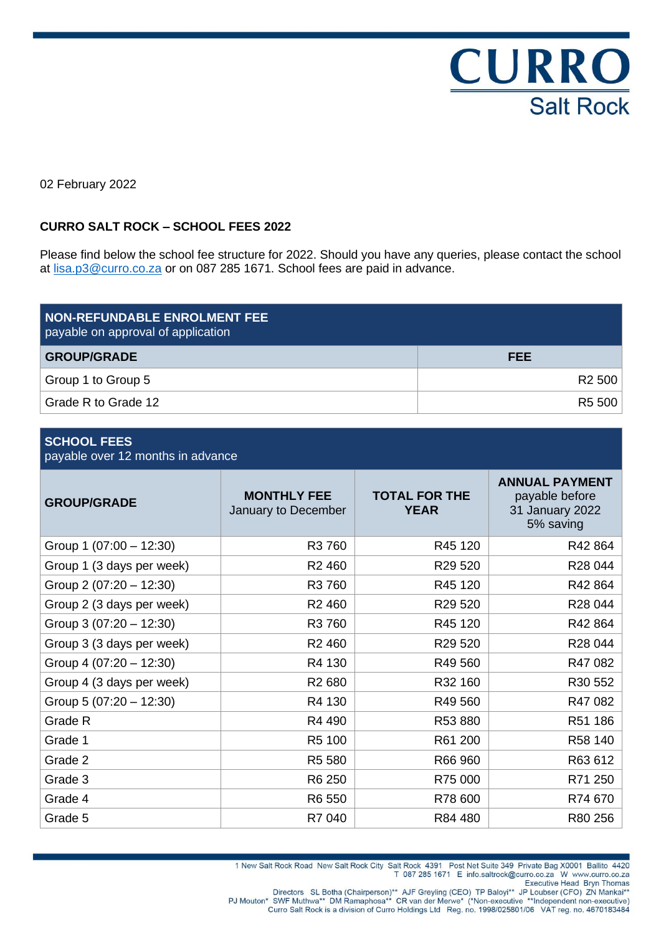CURRO **Salt Rock** 

02 February 2022

#### **CURRO SALT ROCK – SCHOOL FEES 2022**

Please find below the school fee structure for 2022. Should you have any queries, please contact the school at [lisa.p3@curro.co.za](mailto:lisa.p3@curro.co.za) or on 087 285 1671. School fees are paid in advance.

| <b>NON-REFUNDABLE ENROLMENT FEE</b><br>payable on approval of application |                    |
|---------------------------------------------------------------------------|--------------------|
| <b>GROUP/GRADE</b>                                                        | <b>FEE</b>         |
| Group 1 to Group 5                                                        | R <sub>2</sub> 500 |
| Grade R to Grade 12                                                       | R5 500             |

#### **SCHOOL FEES**

payable over 12 months in advance

| <b>GROUP/GRADE</b>        | <b>MONTHLY FEE</b><br>January to December | <b>TOTAL FOR THE</b><br><b>YEAR</b> | <b>ANNUAL PAYMENT</b><br>payable before<br>31 January 2022<br>5% saving |
|---------------------------|-------------------------------------------|-------------------------------------|-------------------------------------------------------------------------|
| Group 1 $(07:00 - 12:30)$ | R3 760                                    | R45 120                             | R42 864                                                                 |
| Group 1 (3 days per week) | R <sub>2</sub> 460                        | R29 520                             | R28 044                                                                 |
| Group 2 $(07:20 - 12:30)$ | R3 760                                    | R45 120                             | R42 864                                                                 |
| Group 2 (3 days per week) | R <sub>2</sub> 460                        | R29 520                             | R28 044                                                                 |
| Group 3 $(07:20 - 12:30)$ | R3 760                                    | R45 120                             | R42 864                                                                 |
| Group 3 (3 days per week) | R <sub>2</sub> 460                        | R29 520                             | R28 044                                                                 |
| Group 4 $(07:20 - 12:30)$ | R4 130                                    | R49 560                             | R47082                                                                  |
| Group 4 (3 days per week) | R <sub>2</sub> 680                        | R32 160                             | R30 552                                                                 |
| Group 5 $(07:20 - 12:30)$ | R4 130                                    | R49 560                             | R47082                                                                  |
| Grade R                   | R4 490                                    | R53 880                             | R51 186                                                                 |
| Grade 1                   | R5 100                                    | R61 200                             | R58 140                                                                 |
| Grade 2                   | R5 580                                    | R66 960                             | R63 612                                                                 |
| Grade 3                   | R6 250                                    | R75 000                             | R71 250                                                                 |
| Grade 4                   | R6 550                                    | R78 600                             | R74 670                                                                 |
| Grade 5                   | R7 040                                    | R84 480                             | R80 256                                                                 |

Curro Salt Rock is a division of Curro Holdings Ltd Reg. no. 1998/025801/06 VAT reg. no. 4670183484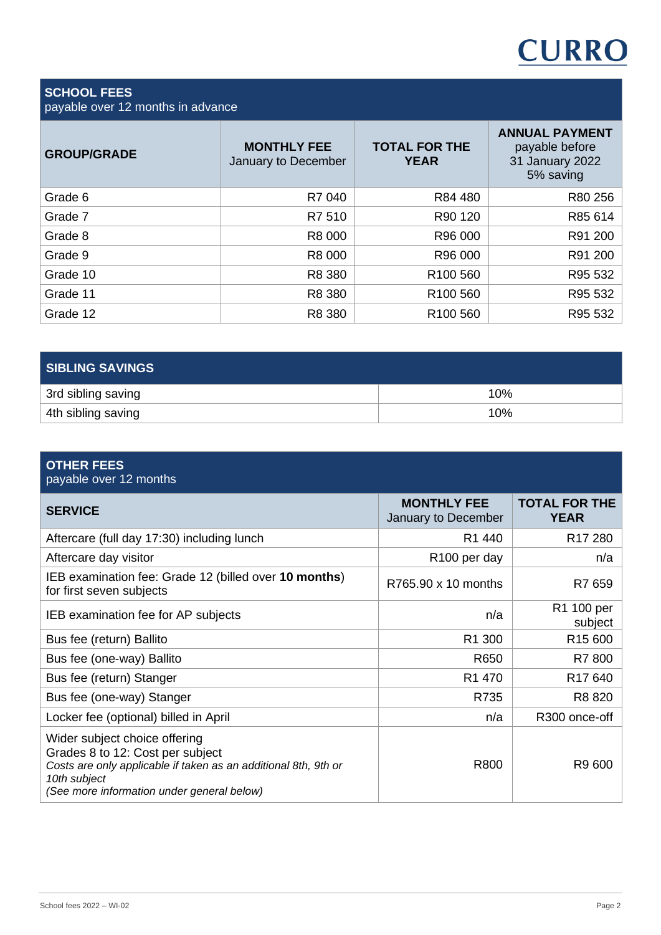

### **SCHOOL FEES**

payable over 12 months in advance

| <b>GROUP/GRADE</b> | <b>MONTHLY FEE</b><br>January to December | <b>TOTAL FOR THE</b><br><b>YEAR</b> | <b>ANNUAL PAYMENT</b><br>payable before<br>31 January 2022<br>5% saving |
|--------------------|-------------------------------------------|-------------------------------------|-------------------------------------------------------------------------|
| Grade 6            | R7 040                                    | R84 480                             | R80 256                                                                 |
| Grade 7            | R7 510                                    | R90 120                             | R85 614                                                                 |
| Grade 8            | R8 000                                    | R96 000                             | R91 200                                                                 |
| Grade 9            | R8 000                                    | R96 000                             | R91 200                                                                 |
| Grade 10           | R8 380                                    | R <sub>100</sub> 560                | R95 532                                                                 |
| Grade 11           | R8 380                                    | R <sub>100</sub> 560                | R95 532                                                                 |
| Grade 12           | R8 380                                    | R <sub>100</sub> 560                | R95 532                                                                 |

| <b>SIBLING SAVINGS</b> |     |
|------------------------|-----|
| 3rd sibling saving     | 10% |
| 4th sibling saving     | 10% |

| <b>OTHER FEES</b><br>payable over 12 months                                                                                                                                                        |                                           |                                     |
|----------------------------------------------------------------------------------------------------------------------------------------------------------------------------------------------------|-------------------------------------------|-------------------------------------|
| <b>SERVICE</b>                                                                                                                                                                                     | <b>MONTHLY FEE</b><br>January to December | <b>TOTAL FOR THE</b><br><b>YEAR</b> |
| Aftercare (full day 17:30) including lunch                                                                                                                                                         | R <sub>1</sub> 440                        | R <sub>17</sub> 280                 |
| Aftercare day visitor                                                                                                                                                                              | R <sub>100</sub> per day                  | n/a                                 |
| IEB examination fee: Grade 12 (billed over 10 months)<br>for first seven subjects                                                                                                                  | R765.90 x 10 months                       | R7 659                              |
| IEB examination fee for AP subjects                                                                                                                                                                | n/a                                       | R1 100 per<br>subject               |
| Bus fee (return) Ballito                                                                                                                                                                           | R <sub>1</sub> 300                        | R <sub>15</sub> 600                 |
| Bus fee (one-way) Ballito                                                                                                                                                                          | R650                                      | R7 800                              |
| Bus fee (return) Stanger                                                                                                                                                                           | R1 470                                    | R <sub>17</sub> 640                 |
| Bus fee (one-way) Stanger                                                                                                                                                                          | R735                                      | R8 820                              |
| Locker fee (optional) billed in April                                                                                                                                                              | n/a                                       | R300 once-off                       |
| Wider subject choice offering<br>Grades 8 to 12: Cost per subject<br>Costs are only applicable if taken as an additional 8th, 9th or<br>10th subject<br>(See more information under general below) | R800                                      | R9 600                              |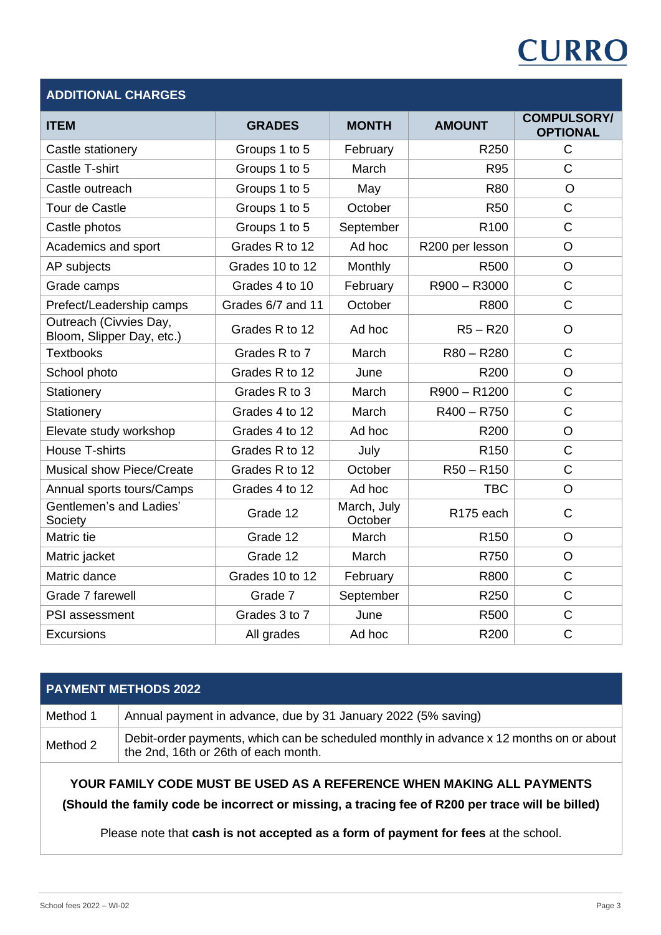# **CURRO**

| <b>ADDITIONAL CHARGES</b>                           |                   |                        |                       |                                       |
|-----------------------------------------------------|-------------------|------------------------|-----------------------|---------------------------------------|
| <b>ITEM</b>                                         | <b>GRADES</b>     | <b>MONTH</b>           | <b>AMOUNT</b>         | <b>COMPULSORY/</b><br><b>OPTIONAL</b> |
| Castle stationery                                   | Groups 1 to 5     | February               | R250                  | C                                     |
| <b>Castle T-shirt</b>                               | Groups 1 to 5     | March                  | <b>R95</b>            | $\overline{C}$                        |
| Castle outreach                                     | Groups 1 to 5     | May                    | <b>R80</b>            | $\circ$                               |
| Tour de Castle                                      | Groups 1 to 5     | October                | <b>R50</b>            | $\overline{C}$                        |
| Castle photos                                       | Groups 1 to 5     | September              | R <sub>100</sub>      | C                                     |
| Academics and sport                                 | Grades R to 12    | Ad hoc                 | R200 per lesson       | $\circ$                               |
| AP subjects                                         | Grades 10 to 12   | Monthly                | R500                  | $\circ$                               |
| Grade camps                                         | Grades 4 to 10    | February               | R900 - R3000          | $\overline{C}$                        |
| Prefect/Leadership camps                            | Grades 6/7 and 11 | October                | R800                  | $\mathsf C$                           |
| Outreach (Civvies Day,<br>Bloom, Slipper Day, etc.) | Grades R to 12    | Ad hoc                 | $R5 - R20$            | $\circ$                               |
| <b>Textbooks</b>                                    | Grades R to 7     | March                  | R80 - R280            | C                                     |
| School photo                                        | Grades R to 12    | June                   | R200                  | $\circ$                               |
| Stationery                                          | Grades R to 3     | March                  | R900 - R1200          | $\overline{C}$                        |
| Stationery                                          | Grades 4 to 12    | March                  | $R400 - R750$         | $\overline{C}$                        |
| Elevate study workshop                              | Grades 4 to 12    | Ad hoc                 | R200                  | $\circ$                               |
| <b>House T-shirts</b>                               | Grades R to 12    | July                   | R <sub>150</sub>      | $\mathsf C$                           |
| <b>Musical show Piece/Create</b>                    | Grades R to 12    | October                | $R50 - R150$          | $\mathsf C$                           |
| Annual sports tours/Camps                           | Grades 4 to 12    | Ad hoc                 | <b>TBC</b>            | $\overline{O}$                        |
| Gentlemen's and Ladies'<br>Society                  | Grade 12          | March, July<br>October | R <sub>175</sub> each | C                                     |
| Matric tie                                          | Grade 12          | March                  | R <sub>150</sub>      | $\overline{O}$                        |
| Matric jacket                                       | Grade 12          | March                  | R750                  | $\circ$                               |
| Matric dance                                        | Grades 10 to 12   | February               | R800                  | $\overline{C}$                        |
| Grade 7 farewell                                    | Grade 7           | September              | R250                  | $\overline{C}$                        |
| PSI assessment                                      | Grades 3 to 7     | June                   | R500                  | $\mathsf C$                           |
| Excursions                                          | All grades        | Ad hoc                 | R200                  | $\overline{C}$                        |

## **PAYMENT METHODS 2022** Method 1 Annual payment in advance, due by 31 January 2022 (5% saving) Method 2 Debit-order payments, which can be scheduled monthly in advance x 12 months on or about the 2nd, 16th or 26th of each month. **YOUR FAMILY CODE MUST BE USED AS A REFERENCE WHEN MAKING ALL PAYMENTS**

**(Should the family code be incorrect or missing, a tracing fee of R200 per trace will be billed)**

Please note that **cash is not accepted as a form of payment for fees** at the school.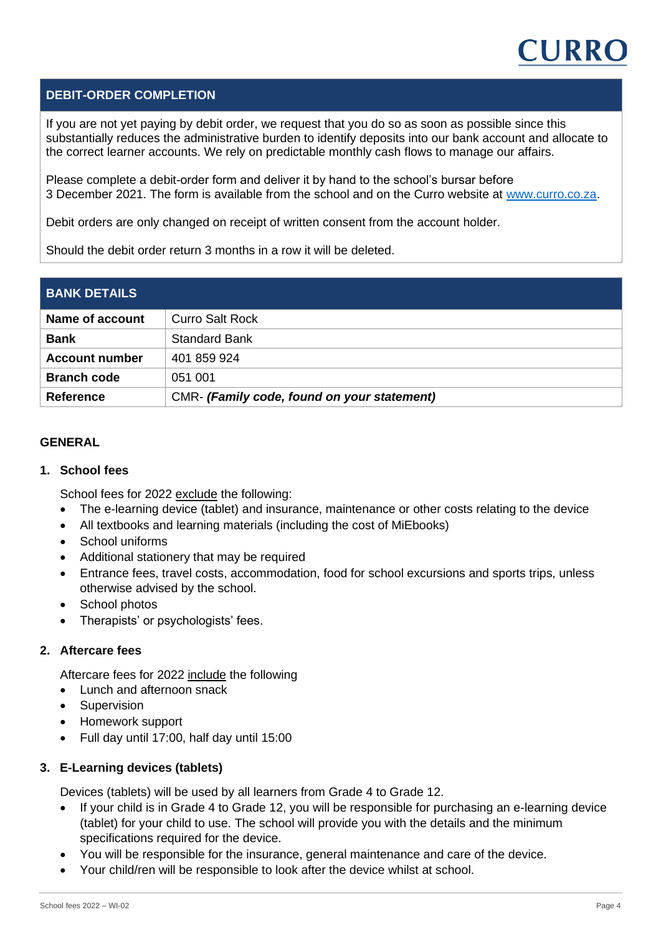

#### **DEBIT-ORDER COMPLETION**

If you are not yet paying by debit order, we request that you do so as soon as possible since this substantially reduces the administrative burden to identify deposits into our bank account and allocate to the correct learner accounts. We rely on predictable monthly cash flows to manage our affairs.

Please complete a debit-order form and deliver it by hand to the school's bursar before 3 December 2021. The form is available from the school and on the Curro website at [www.curro.co.za.](http://www.curro.co.za/)

Debit orders are only changed on receipt of written consent from the account holder.

Should the debit order return 3 months in a row it will be deleted.

| <b>BANK DETAILS</b>   |                                             |
|-----------------------|---------------------------------------------|
| Name of account       | <b>Curro Salt Rock</b>                      |
| <b>Bank</b>           | <b>Standard Bank</b>                        |
| <b>Account number</b> | 401 859 924                                 |
| <b>Branch code</b>    | 051 001                                     |
| <b>Reference</b>      | CMR- (Family code, found on your statement) |

#### **GENERAL**

#### **1. School fees**

School fees for 2022 exclude the following:

- The e-learning device (tablet) and insurance, maintenance or other costs relating to the device
- All textbooks and learning materials (including the cost of MiEbooks)
- School uniforms
- Additional stationery that may be required
- Entrance fees, travel costs, accommodation, food for school excursions and sports trips, unless otherwise advised by the school.
- School photos
- Therapists' or psychologists' fees.

#### **2. Aftercare fees**

Aftercare fees for 2022 include the following

- Lunch and afternoon snack
- Supervision
- Homework support
- Full day until 17:00, half day until 15:00

#### **3. E-Learning devices (tablets)**

Devices (tablets) will be used by all learners from Grade 4 to Grade 12.

- If your child is in Grade 4 to Grade 12, you will be responsible for purchasing an e-learning device (tablet) for your child to use. The school will provide you with the details and the minimum specifications required for the device.
- You will be responsible for the insurance, general maintenance and care of the device.
- Your child/ren will be responsible to look after the device whilst at school.